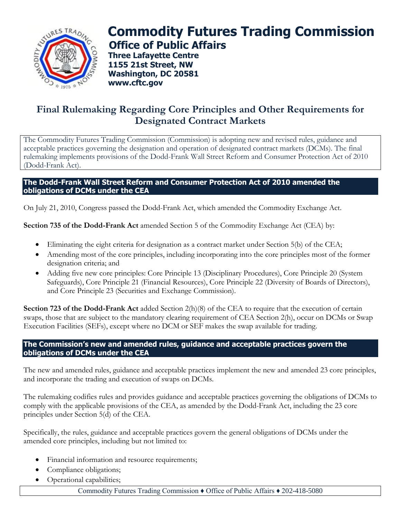

## **Commodity Futures Trading Commission Office of Public Affairs**

**Three Lafayette Centre 1155 21st Street, NW Washington, DC 20581 www.cftc.gov**

## **Final Rulemaking Regarding Core Principles and Other Requirements for Designated Contract Markets**

The Commodity Futures Trading Commission (Commission) is adopting new and revised rules, guidance and acceptable practices governing the designation and operation of designated contract markets (DCMs). The final rulemaking implements provisions of the Dodd-Frank Wall Street Reform and Consumer Protection Act of 2010 (Dodd-Frank Act).

## **The Dodd-Frank Wall Street Reform and Consumer Protection Act of 2010 amended the obligations of DCMs under the CEA**

On July 21, 2010, Congress passed the Dodd-Frank Act, which amended the Commodity Exchange Act.

**Section 735 of the Dodd-Frank Act** amended Section 5 of the Commodity Exchange Act (CEA) by:

- Eliminating the eight criteria for designation as a contract market under Section 5(b) of the CEA;
- Amending most of the core principles, including incorporating into the core principles most of the former designation criteria; and
- Adding five new core principles: Core Principle 13 (Disciplinary Procedures), Core Principle 20 (System Safeguards), Core Principle 21 (Financial Resources), Core Principle 22 (Diversity of Boards of Directors), and Core Principle 23 (Securities and Exchange Commission).

**Section 723 of the Dodd-Frank Act** added Section 2(h)(8) of the CEA to require that the execution of certain swaps, those that are subject to the mandatory clearing requirement of CEA Section 2(h), occur on DCMs or Swap Execution Facilities (SEFs), except where no DCM or SEF makes the swap available for trading.

## **The Commission's new and amended rules, guidance and acceptable practices govern the obligations of DCMs under the CEA**

The new and amended rules, guidance and acceptable practices implement the new and amended 23 core principles, and incorporate the trading and execution of swaps on DCMs.

The rulemaking codifies rules and provides guidance and acceptable practices governing the obligations of DCMs to comply with the applicable provisions of the CEA, as amended by the Dodd-Frank Act, including the 23 core principles under Section 5(d) of the CEA.

Specifically, the rules, guidance and acceptable practices govern the general obligations of DCMs under the amended core principles, including but not limited to:

- Financial information and resource requirements;
- Compliance obligations;
- Operational capabilities;

Commodity Futures Trading Commission ♦ Office of Public Affairs ♦ 202-418-5080